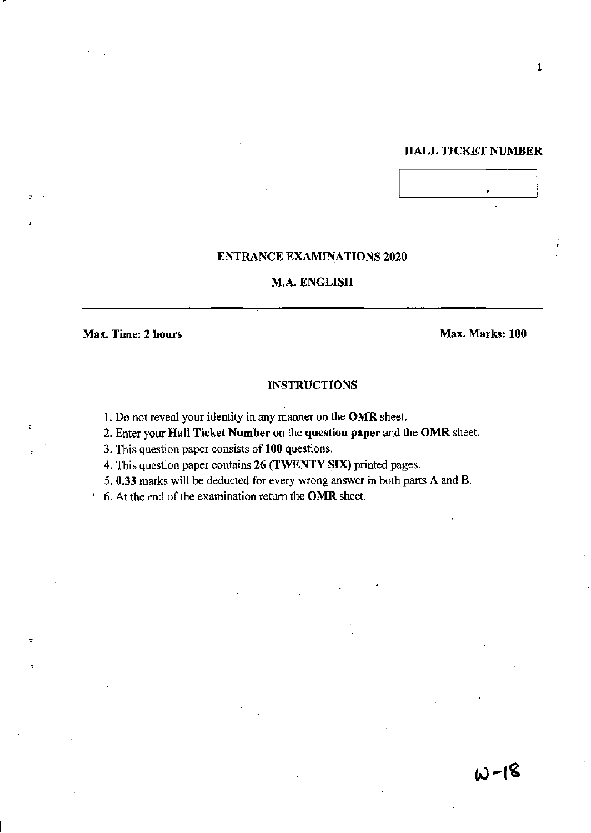# HALL TICKET NUMBER

1

## ENTRANCE EXAMINATIONS 2020

#### M.A. ENGLISH

**Max. Time: 2 hours** Max. Marks: 100

## INSTRUCTIONS

1. Do not reveal your identity in any manner on the **OMR** sheet.

2. Enter your **Hall Ticket Number** on the **question paper** and the **OMR** sheet.

3. This question paper consists of **100** questions.

4. This question paper contains 26 (TWENTY SIX) printed pages.

5. **0.33** marks will be deducted for every wrong answer in both parts A and B.

6. At the end of the examination return the **OMR** sheet.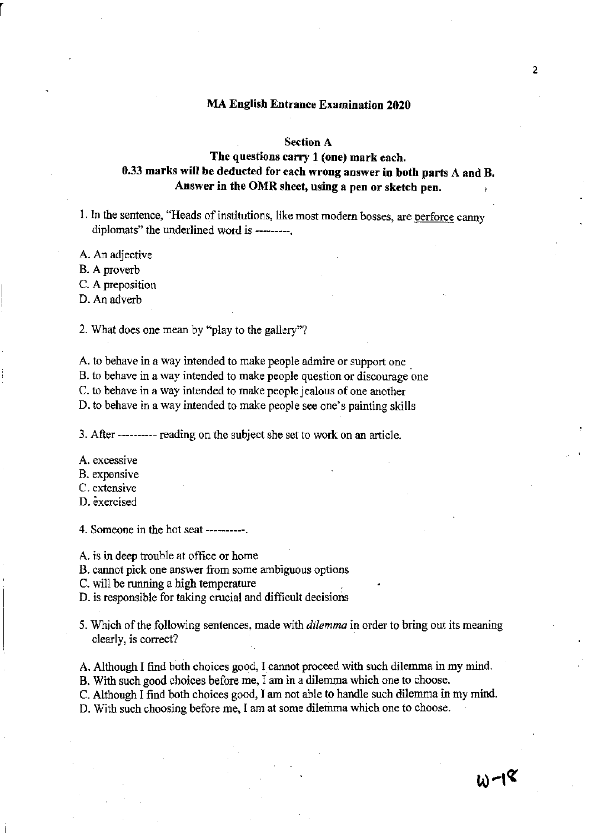## MA English Entrance Examination 2020

#### Section A

# The questions carry 1 (one) mark eacb. 0.33 marks wiIJ be deducted for each wrong answer in both parts A and B. Answer in the OMR sheet, using a pen or sketch pen.

1. In the sentence, "Heads of institutions, like most modern bosses, are perforce canny diplomats" the underlined word is ---------,

A. An adjective

B. A proverb

r

C. A preposition

D. An adverb

2. What does one mean by "play to the gallery"?

A. to behave in a way intended to make people admire or support one .

B. to behave in a way intended to make people question or discourage one

C. to behave in a way intended to make people jealous of one another

D. to behave in a way intended to make people see one's painting skills

3. After ---------- reading on the subject she set to work on an article.

A. excessive

B. expensive

C. extensive

D. exercised

4. Someone in the hot seat ----------.

A. is in deep trouble at office or home

B. cannot pick one answer from some ambiguous options

C. will be running a high temperature

D. is responsible for taking crucial and difficult decisions

5. Which of the following sentences, made with *dilemma* in order to bring out its meaning clearly, is correct?

A. Although I find both choices good, I cannot proceed with such dilemma in my mind.

B. With such good choices before me, I am in a dilemma which one to choose.

C. Although I find both choices good, I am not able to handle such dilemma in my mind.

D. With such choosing before me, I am at some dilemma which one to choose.

W-18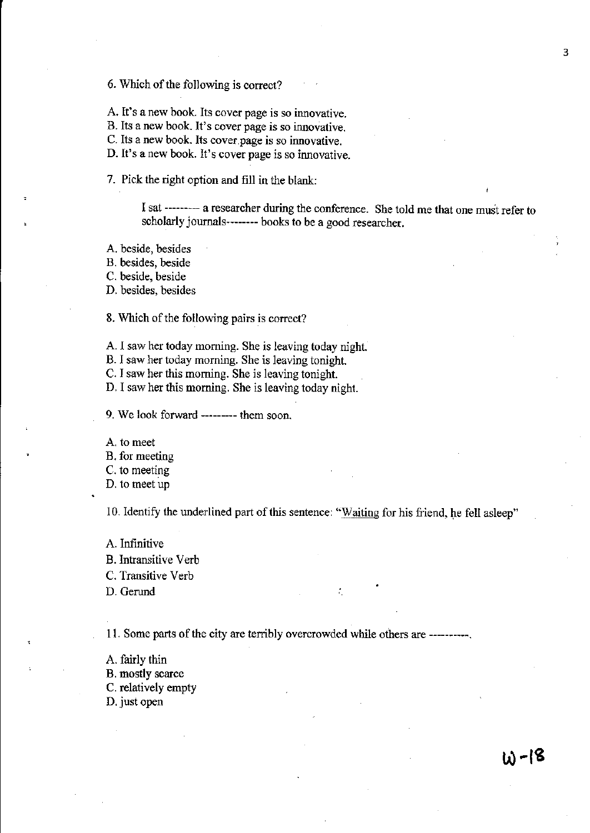6. Which of the following is correct?

A. It's a new book. Its cover page is so innovative.

B. Its a new book. It's cover page is so innovative.

C. Its a new book. Its cover.page is so innovative.

D. It's a new hook. It's cover page is so innovative.

7. Pick the right option and fill in the blank:

I sat --------- a researcher during the conference. She told me that one must refer to scholarly journals-------- books to he a good researcher.

A. beside, besides

B. besides, beside

C. beside, beside

D. besides, besides

8. Which of the following pairs is correct?

A. I saw her today morning. She is leaving today night.

B. I saw her today morning. She is leaving tonight.

C. I saw her this morning. She is leaving tonight.

D. I saw her this morning. She is leaving today night.

9. We look forward --------- them soon.

A, to meet

B. for meeting

C. to meeting

D. to meet up

10. Identify the underlined part of this sentence: "Waiting for his friend, he fell asleep"

A. Infinitive B. Intransitive Verb C. Transitive Verb D. Gerund

11. Some parts of the city are terribly overcrowded while others are ----------.

A. fairly thin B. mostly scarce C. relatively empty D. just open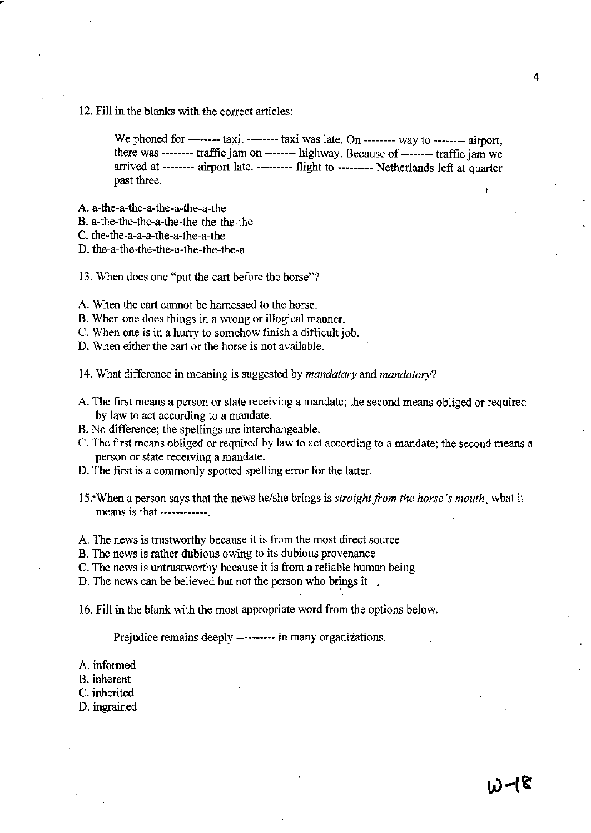12, Fill in the blanks with the correct articles:

We phoned for  $------$  taxi.  $----$  taxi was late. On  $------$  way to  $------$  airport, there *was* -------- traffic jam on -----.-- highway. Because of -------- traffic jam we arrived at -------- airport late. --------- flight to --------- Netherlands left at quarter past three,

- A. a-the-a-tbe-a-tbe-a-tbe-a-tbe
- B. a-tbe-tbe-tbe-a-tbe-tbe-tbe-tbe-tbe
- C. the-tbe-a-a-a-tbe-a-the-a-the

D. the-a-the-the-the-a-the-the-the-a

13. When does one "put the cart before the horse"?

- A. When the cart cannot be harnessed to the horse.
- B. When one does things in a wrong or illogical manner.
- C. When one is in a hurry to somehow finish a difficult job.
- D. When either the cart or the horse is not available.

14. What difference in meaning is suggested by *mandatary* and *mandatory?* 

- A. The first means a person or state receiving a mandate; the second means obliged or required by law to act according to a mandate.
- B. No difference; the spellings are interchangeable.
- C. The first means obliged or required by law to act according to a mandate; the second means a person or state receiving a mandate.
- D. The first is a commonly spotted spelling error for the latter.
- 15:When a person says that the news he/she brings is *straight from the horse's mouth,* what it means is that -------------

A. The news is trustworthy because it is from the most direct source

B. The news is rather dubious owing to its dubious provenance

C. The news is untrustworthy because it is from a reliable human being

D. The news can be believed but not the person who brings it  $\cdot$ 

16. Fill in the blank with the most appropriate word from the options below.

Prejudice remains deeply ---------- in many organizations.

- A. informed
- B. inherent
- C, inherited
- D, ingrained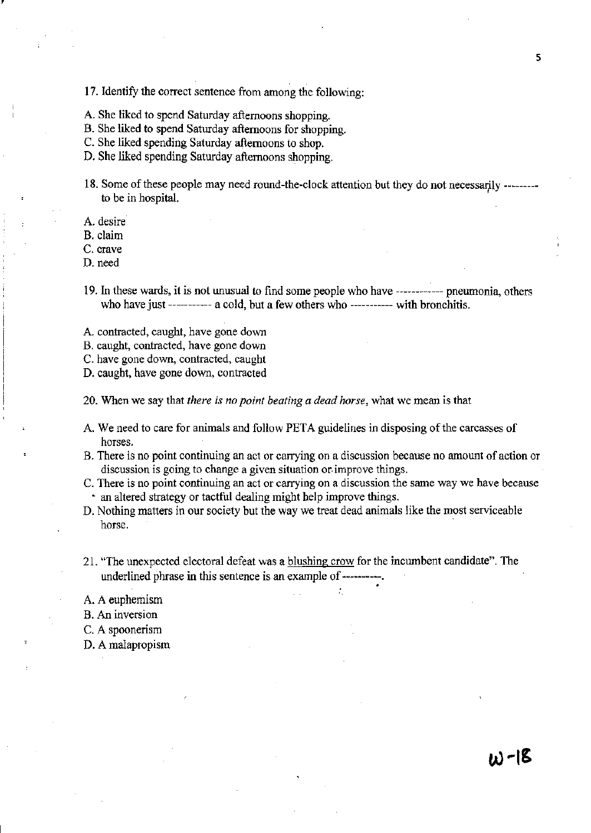#### 17. Identify the correct sentence from among the following:

- A She liked to spend Saturday afternoons shopping.
- B. She liked to spend Saturday afternoons for shopping.
- C. She liked spending Saturday afternoons to shop.
- D. She liked spending Saturday afternoons shopping.
- 18. Some of these people may need round-the-clock attention but they do not necessarily -------to be in hospital.
- A. desire
- B. claim
- C. crave
- D. need
- 19. In these wards, it is not unusual to find some people who have ------------ pneumonia, others who have just ----------- a cold, but a few others who ----------- with bronchitis.
- A. contracted, caught, have gone down
- B. caught, contracted, have gone down
- C. have gone down, contracted, caught
- D. caught, have gone down, contracted
- 20. When we say that *there is no point beating a dead horse,* what we mean is that
- A. We need to care for animals and follow PETA guidelines in disposing of the carcasses of horses.
- B. There is no point continuing an act or carrying on a discussion because no amount of action or discussion is going to change a given situation or improve things.
- C. There is no point continuing an act or carrying on a discussion the same way we have because • an altered strategy or tactful dealing might help improve things.
- D. Nothing matters in our society but the way we treat dead animals like the most serviceable horse.
- 21. "Tbe unexpected electoral defeat was a blushing crow for the incumbent candidate". The underlined phrase in this sentence is an example of -----.

A. A euphemism

B. An inversion

C. A spoonerism

D. A malapropism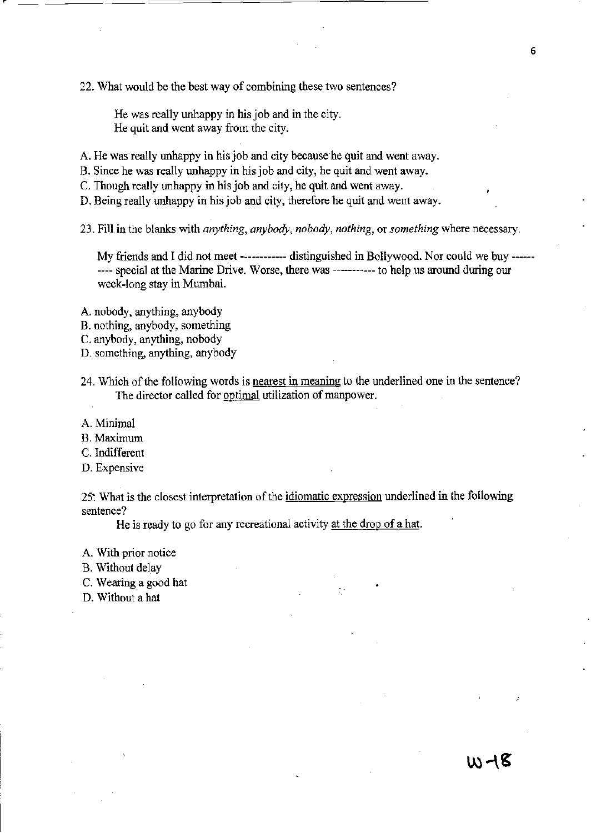22. What would be the best way of combining these two sentences?

He was really unhappy in his job and in the city. He quit and went away from the city.

A. He was really unhappy in his job and city because he quit and went away.

B. Since he was really unhappy in his job and city, he quit and went away.

C. Though really unhappy in his job and city, he quit and went away.

D. Being really unhappy in his job and city, therefore he quit and went away.

23. Fill in the blanks with *anything, anybody, nobody, nothing,* or *something* where necessary.

My friends and I did not meet ------------ distinguished in Bollywood. Nor could we buy ---------- special at the Marine Drive. Worse, there was ----------- to help us around during our week-long stay in Mumbai.

A. nobody, anything, anybody

B. nothing, anybody, something

C. anybody, anything, nobody

D. something. anything, anybody

24. Which of the following words is nearest in meaning to the underlined one in the sentence? The director called for optimal utilization of manpower.

A. Minimal

B. Maximum

C. Indifferent

D. Expensive

25: What is the closest interpretation of the idiomatic expression underlined in the following sentence?

He is ready to go for any recreational activity at the drop of a hat.

A. With prior notice

B. Without delay

C. Wearing a good hat

D. Without a hat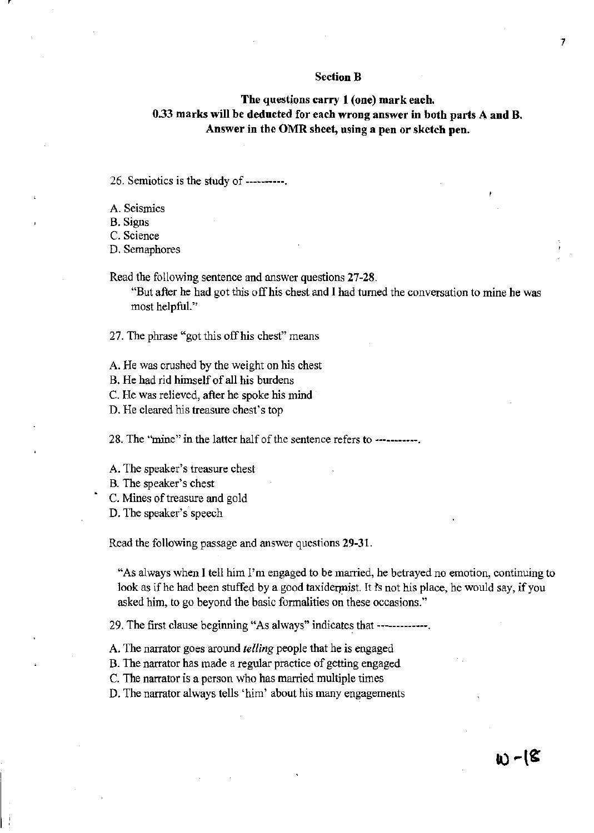## **Section B**

# **The questions carry 1 (one) mark each. 0.33 marks will be deducted for each wrong answer in both parts A and B. Answer in the OMR sheet, using a pen or sketch pen.**

#### 26. Semiotics is the study of ~---------.

A. Seismics

B. Signs

,

C. Science

D. Semaphores

Read the following sentence and answer questions 27-28.

"But after he had got this off his chest and I had turned the conversation to mine he was most helpful."

27. The phrase "got this off his chest" means

A. He was crushed by the weight on his chest

B. He had rid himself of all his burdens

C. He was relieved, after he spoke his mind

D. He cleared his treasure chest's top

28. The "mine" in the latter half of the sentence refers to -----------,

- A. The speaker's treasure chest
- B. The speaker's chest
- C. Mines of treasure and gold

D. The speaker's speech

Read the following passage and answer questions **29-31.** 

"As always when I tell him I'm engaged to be married, he betrayed no emotion, continuing to look as if he had been stuffed by a good taxidermist. It is not his place, he would say, if you asked him, to go beyond the basic formalities on these occasions."

29. The first clause beginning "As always" indicates that --------------

A. The narrator goes around *telling* people that he is engaged

B. The narrator has made a regular practice of getting engaged

C. The narrator is a person who has married multiple times

D. The narrator always tells 'him' about his many engagements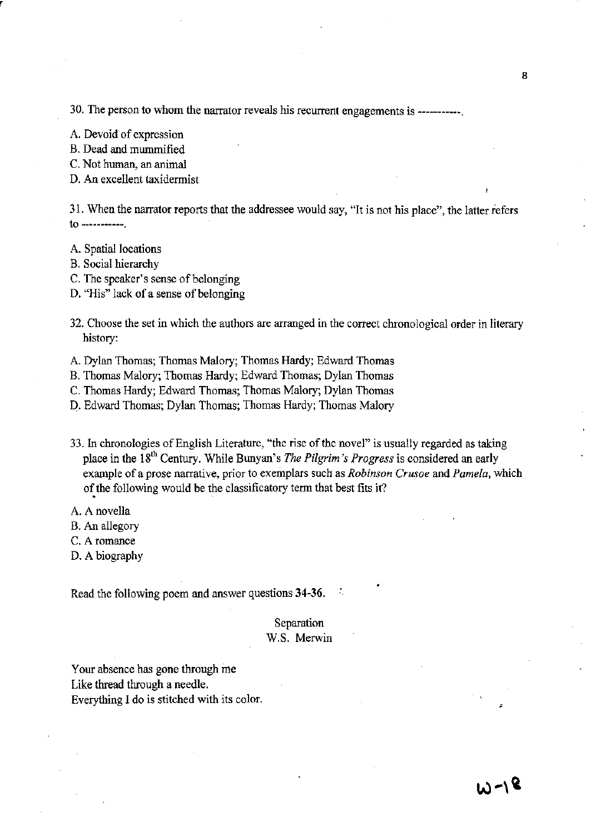30. The person to whom the narrator reveals his recurrent engagements is -----------

A. Devoid of expression

r

B. Dead and mummified

C. Not human, an animal

D. An excellent taxidermist

31. When the narrator reports that the addressee would say, "It is not his place", the latter refers to -----------,

A. Spatial locations

B. Social hierarchy

C. The speaker's sense of belonging

D. "His" lack of a sense of belonging

32. Choose the set in which the authors are arranged in the correct chronological order in literary history:

A. Dylan Thomas; Thomas Malory; Thomas Hardy; Edward Thomas

B. Thomas Malory; Thomas Hardy; Edward Thomas; Dylan Thomas

C. Thomas Hardy; Edward Thomas; Thomas Malory; Dylan Thomas

D. Edward Thomas; Dylan Thomas; Thomas Hardy; Thomas Malory

- 33. In chronologies of English Literature, "the rise of the novel" is usually regarded as taking place in the 18th Century. While Bunyan's *The Pilgrim's Progress* is considered an early example of a prose narrative, prior to exemplars such: as *Robinson Crusoe* and *Pamela,* which of the following would be the classificatory term that best fits it?
- A. A novella
- B. An allegory

C. A romance

D. A biography

Read the following poem and answer questions 34-36.

# Separation W.S. Merwin

Your absence has gone through me Like thread through a needle. Everything I do is stitched with its color.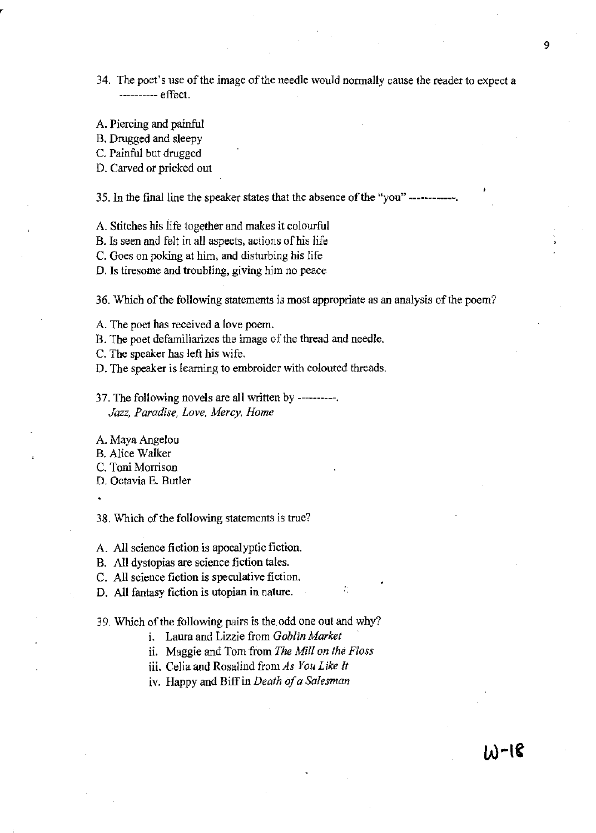- 34. The poet's use of the image of the needle would nonnally cause the reader to expect a ~--------- effect.
- A. Piercing and painful

B. Drugged and sleepy

C. Painful but drugged

D. Carved or pricked out

35. In the final line the speaker states that the absence of the "you" ------------.

- A. Stitches his life together and makes it colourful
- B. Is seen and felt in all aspects, actions of his life
- C. Goes on poking at him, and disturbing his life
- D. Is tiresome and troubling, giving him no peace

36. Which of the following statements is most appropriate as an analysis of the poem?

- A. The poet has received a love poem.
- B. The poet defamiliarizes the image of the thread and needle.
- C. The speaker has left his wife.

D. The speaker is learning to embroider with coloured threads.

- 37. The following novels are all written by ----------, *Jazz, Paradise, Love, Mercy, Home*
- A. Maya Angelou
- B. Alice Walker
- C. Toni Morrison
- D. Octavia E. Butler
- 

38. Which of the following statements is true?

A. All science fiction is apocalyptic fiction.

B. All dystopias are science fiction tales.

C. All science fiction is speculative fiction.

- D. All fantasy fiction is utopian in nature.
- 39. Which of the following pairs is the odd one out and why?
	- i. Laura and Lizzie from *Goblin Market*
	- ii. Maggie and Tom from *The Mill on Ihe Floss*
	- iii. Celia and Rosalind from *As You Like II*

iv. Happy and Biff in *Death of a Salesman* 

 $| \lambda$ -18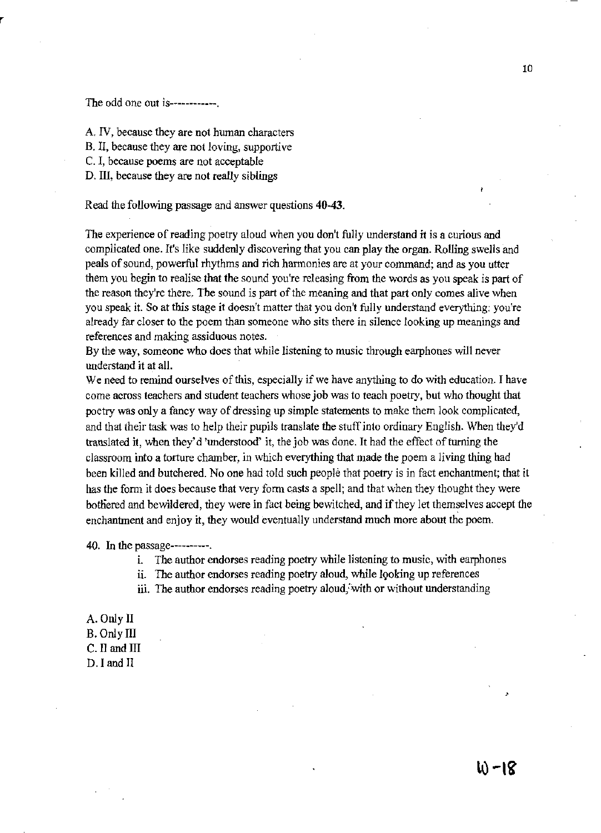The odd one out is------------.

A. IV, because they are not human characters

B. II, because they are not loving, supportive

C. I, because poems are not acceptable

D. III, because they are not really siblings

Read the following passage and answer questions 40-43.

The experience of reading poetry aloud when you don't fully understand it is a curious and complicated one. It's like suddenly discovering that you can play the organ. Rolling swells and peals of sound, powerful rhythms and rich harmonies are at your command; and as you utter them you begin to realise that the sound you're releasing from the words as you speak is part of the reason they're there. The sound is part of the meaning and that part only comes alive when you speak it. So at this stage it doesn't matter that you don't fully understand everything: you're already far closer to the poem than someone who sits there in silence looking up meanings and references and making assiduous notes.

By the way, someone who does that while listening to music through earphones will never understand it at all.

We need to remind ourselves of this, especially if we have anything to do with education. I have come across teachers and student teachers whose job was to teach poetry, but who thought that poetry was only a fancy way of dressing up simple statements to make them look complicated, and that their task was to help their pupils translate the stuff into ordinary English. "When they'd translated it, when they'd 'understood' it, the job was done. It had the effect of turning the classroom into a torture chamber, in which everything that made the poem a living thing had been killed and butchered. No one had told such people that poetry is in fact enchantment; that it has the form it does because that very form casts a spell; and that when they thought they were bothered and bewildered, they were in fact being bewitched, and if they let themselves accept the enchantment and enjoy it, they would eventually understand much more about the poem.

40. In the passage----------.

- i. The author endorses reading poetry while listening to music, with earphones
- ii. The author endorses reading poetry aloud, while Iqoking up references
- iii. The author endorses reading poetry aloud, with or without understanding
- A. Only II
- B. Only III
- C.II and III
- D. I and II

 $\mathbf{r}$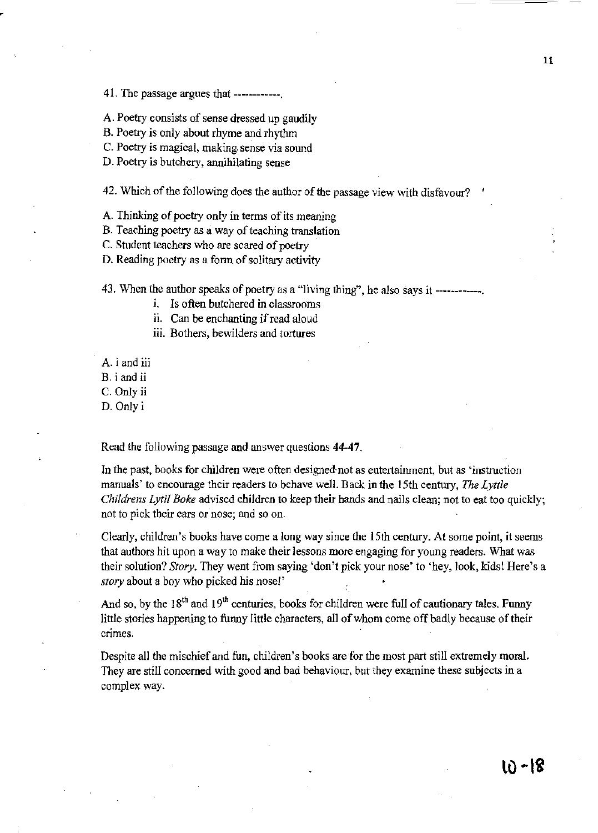41. The passage argues that ------------.

A. Poetry consists of sense dressed up gaudily

B. Poetry is only about rhyme and rhythm

C. Poetry is magical, making. sense via sound

D. Poetry is butchery, annihilating sense

42. Which of the following does the author of the passage view with disfavour?

A. Thinking of poetry only in terms of its meaning

B. Teaching poetry as a way of teaching translation

C, Student teachers who are scared of poetry

D. Reading poetry as a fonn of solitary activity

43. When the author speaks of poetry as a "living thing", he also says it ------------

i. Is often butchered in classrooms

ii. Can be enchanting if read aloud

iii. Bothers, bewilders and tortures

A. i and iii

B. i and ii

C. Only ii

D. Only i

Read the following passage and answer questions 44-47.

In the past, books for children were often designed-not as entertainment, but as 'instruction manuals' to encourage their readers to behave well. Back in the 15th century, *The Lyttle Childrens Lytil Boke* advised children to keep their hands and nails clean; not to eat too quickly; not to pick their ears or nose; and so on.

Clearly, children's books have come a long way since the 15th century. At some point, it seems that authors hit upon a way to make their lessons more engaging for young readers. What was their solution? *Story.* They went from saying 'don't pick your nose' to 'hey, look, kids! Here's a *story* about a boy who picked his nose!'

And so, by the 18<sup>th</sup> and 19<sup>th</sup> centuries, books for children were full of cautionary tales. Funny little stories happening to funny little characters, all of whom come off badly because of their crimes.

Despite all the mischief and fun, children's books are for the most part still extremely moral. They are still concerned with good and bad behaviour, but they examine these subjects in a complex way.

w -18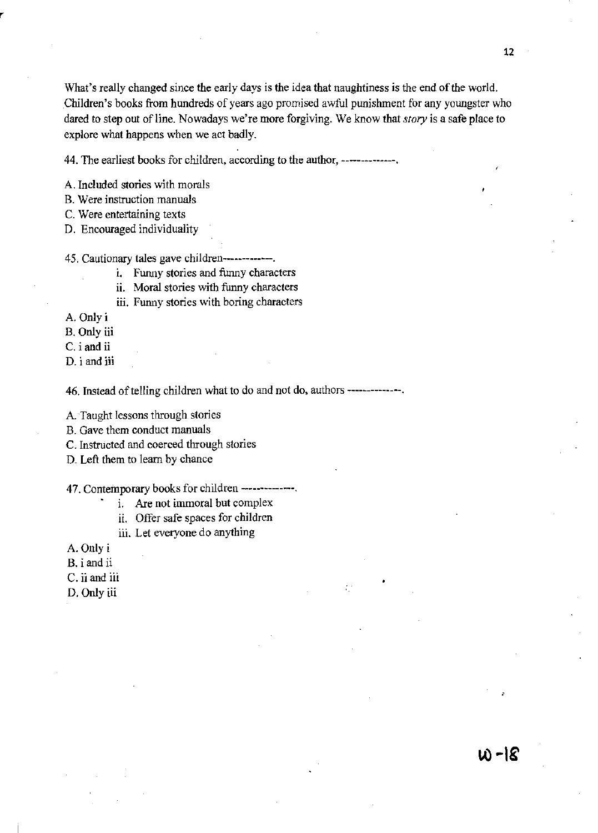What's really changed since the early days is the idea that naughtiness is the end of the world. Children's books from hundreds of years ago promised awful punishment for any youngster who dared to step out of line. Nowadays we're more forgiving. We know that *story* is a safe place to explore what happens when we act badly.

t,

44. The earliest books for children, according to the author, --------------,

A. Included stories with morals

B. Were instruction manuals

C. Were entertaining texts

D. Encouraged individuality

45. Cautionary tales gave children-------------.

i. Funny stories and funny characters

ii. Moral stories with funny characters

iii. Funny stories with boring characters

A. Only i

B. Only iii

C. i and ii

D. i and iii

46. Instead of telling children what to do and not do. authors --------------.

A. Taught lessons through stories

B. Gave them conduct manuals

C. Instructed and coerced through stories

D. Left them to leam by chance

47. Contemporary books for children --------------.

i. Are not immoral but complex

ii. Offer safe spaces for children

iii. Let everyone do anything

A. Only i

B. i and ii

C. ii and iii

D. Only iii

 $\boldsymbol{\omega}$  -I $\boldsymbol{\varepsilon}$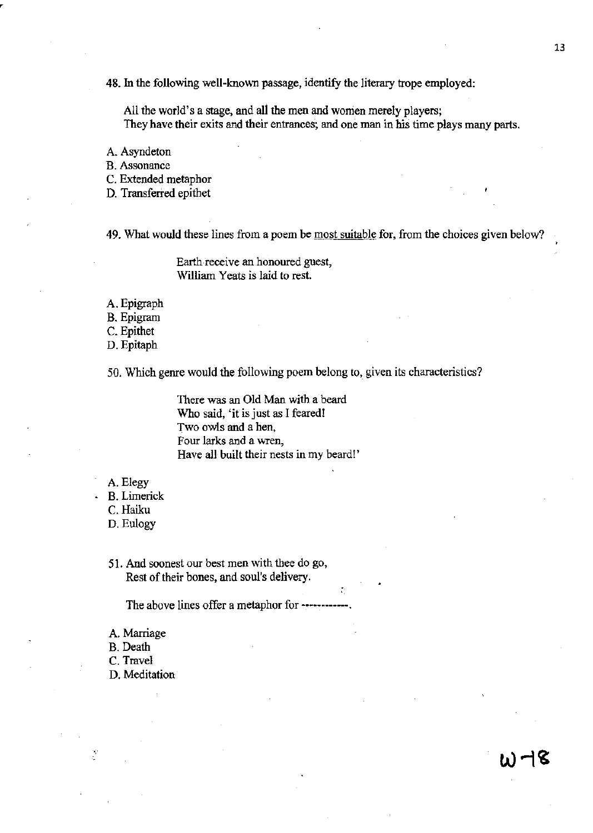48. In the following well-known passage, identify the literary trope employed:

**All the world's a stage, and all the men and women merely players; They have their exits and their entrances; and one man in his time plays many parts,** 

## A. Asyndeton

**B. Assonance** 

C. Extended metaphor

D. Transferred epithet

**49. What would these lines from a poem be most suitable for, from the choices given below?** 

**Earth receive an honoured guest, William Yeats is laid to rest.** 

- A. Epigraph
- B. Epigram
- C. Epithet
- D. Epitaph

**50. Which geme would the following poem belong** to, **given its characteristics?** 

There was an Old Man with a beard **Who said, 'it is just as I feared! Two owls and a hen, Four larks and a wren, Have all built their nests in my beard!'** 

- A. Elegy
- **B. Limerick** 
	- C.Haiku
	- D. Eulogy
	- **51. And soonest our best men with thee do go, Rest of their hones, and soul's delivery.**

**The above lines offer a metaphor for ------------.** 

- A. Marriage
- B. Death
- C. Travel
- D. Meditation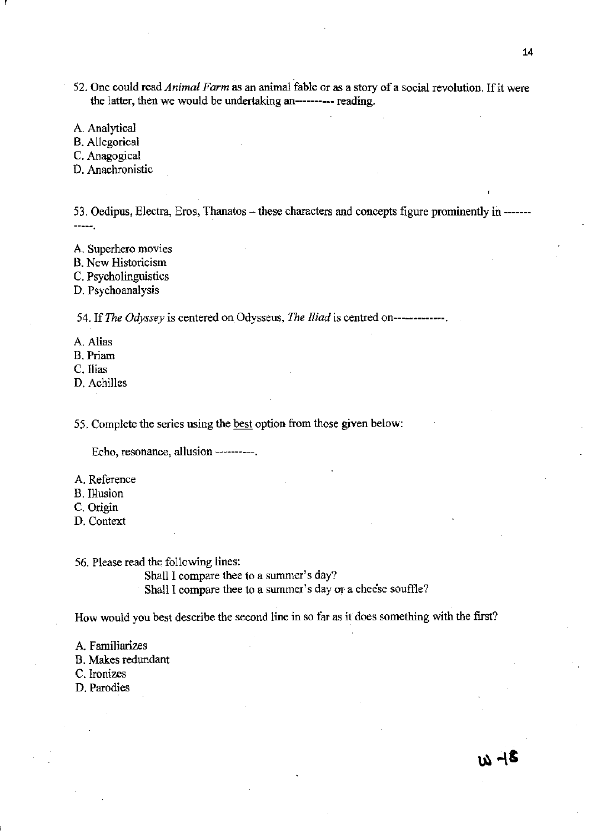- 52. One could read *Animal Farm* as an animal fable or as a story of a social revolution. If it were the latter, then we would be undertaking an---------- reading.
- A. Analytical

r

- B. Allegorical
- C. Anagogical
- D. Anachronistic

53. Oedipus, Electra, Eros, Thanatos – these characters and concepts figure prominently in -----------,

A. Superhero movies

B. New Historicism

C. Psycholinguistics

D. Psychoanalysis

54. If *The Odyssey* is centered on Odysseus, *The Iliad* is centred on-------------

- A. Alias
- B.Priam
- C. Ilias
- D. Achilles

55. Complete the series using the best option from those given below:

Echo, resonance, allusion ----------,

- A. Reference
- B. Illusion
- C. Origin
- D. Context

56. Please read the following lines:

Shall I compare thee to a summer's day? Shall I compare thee to a summer's day or a cheese souffle?

How would you best describe the second line in so far as it does something with the first?

- A Familiarizes
- B. Makes redundant
- C. Ironizes
- D. Parodies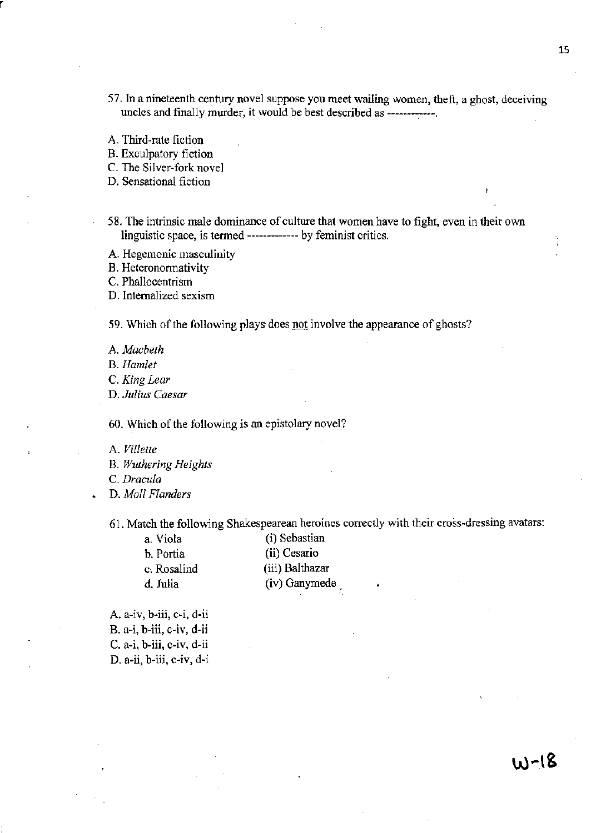- 57. In a nineteenth century novel suppose you meet wailing women, theft, a ghost, deceiving uncles and finally murder, it would be best described as ------------,
- A. Third-rate fiction

r

B. Exculpatory fiction

C. The Silver-fork novel

D. Sensational fiction

- 58. The intrinsic male dominance of culture that women have to fight, even in their own linguistic space, is tenned ------------- by feminist critics.
- A. Hegemonic masculinity

B. Heteronormativity

C. Phallocentrism

D. Internalized sexism

59. Which of the following plays does not involve the appearance of ghosts?

A. *Macbeth* 

*B.Hamlet* 

C. *King Lear* 

D. *Julius Caesar* 

60. Which of *the* following is an epistolary novel?

A. *Villette* 

B. *Wuthering Heights* 

C. *Dracula* 

D. *Moll Flanders* 

61. Match the following Shakespearean heroines correctly with their cross-dressing avatars:

| a. Viola    | (i) Sebastian   |  |  |
|-------------|-----------------|--|--|
| b. Portia   | (ii) Cesario    |  |  |
| c. Rosalind | (iii) Balthazar |  |  |
| d. Julia    | (iv) Ganymede   |  |  |

A. a-iv, h-iii, c-i, d-ii B. a-i, b-iii, c-iv, d-ii C. a-i, h-iii, c-iv, d-ii D. a-ii, b-iii, c-iv, d-i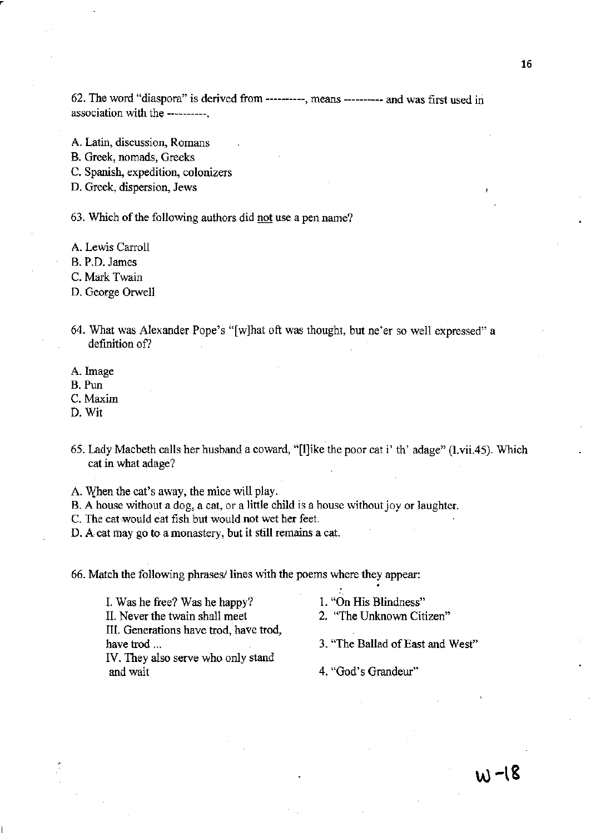62, The word "diaspora" is derived from ----------, means ---------- and was first used in association with the ----------,

A. Latin, discussion, Romans

B. Greek, nomads, Greeks

C. Spanish, expedition, colonizers

D. Greek, dispersion, Jews

63. Which of the following authors did not use a pen name?

A. Lewis Carroll

B. P.D. James

C. Mark Twain

D. George Orwell

- 64. What was Alexander Pope's "[wJhat oft was thought, but ne'er so well expressed" a definition of?
- A. Image

B. Pun

C. Maxim

D. Wit

65. Lady Macbeth calls her husband a coward, "[llike the poor cat i' th' adage" (I.vii,45). Which cat in what adage?

A When the cat's away, the mice will play.

- B. A house without a dog, a cat. or a little child is a house without joy or laughter.
- C. The cat would eat fish but would not wet her feet.

D. A cat may go to a monastery, but it still remains a cat.

66. Match the following phrases/lines with the poems where they appear:

I. Was he free? Was he happy? II. Never the twain shall meet **III.** Generations have trod, have trod,

IV. They also serve who only stand and wait 4. "God's Grandeur"

1. "On His Blindness"

2. "The Unknown Citizen"

have trod ... **3.** "The Ballad of East and West"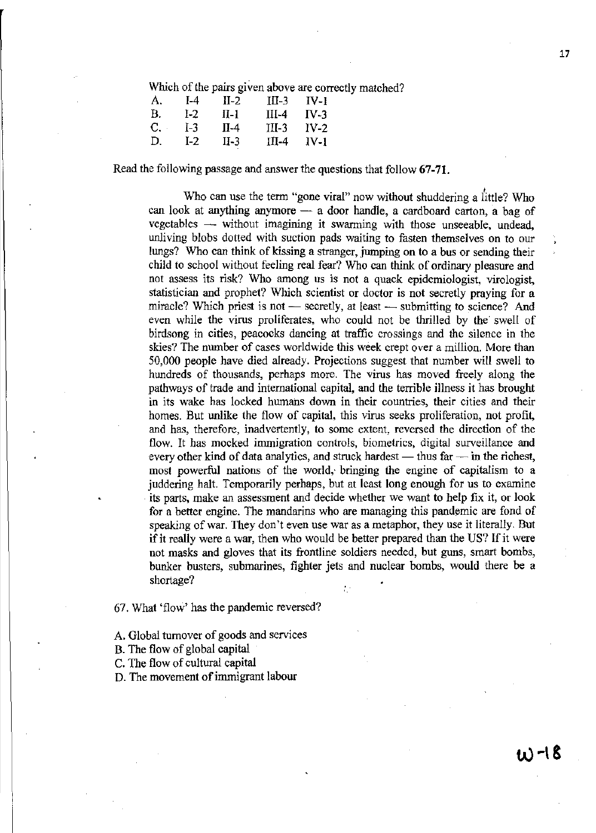Which of the pairs given above are correctly matched?

| A.       | I-4 | II-2   | III-3 | $IV-1$      |
|----------|-----|--------|-------|-------------|
| В.       | I-2 | 11-1   | III-4 | <b>IV-3</b> |
| $\rm C.$ | I-3 | $II-4$ | TH-3  | $IV-2$      |
| D.       | I-2 | II-3   | Ш-4   | $IV-1$      |

Read the following passage and answer the questions that follow 67-71.

Who can use the term "gone viral" now without shuddering a little? Who can look at anything anymore - a door handle, a cardboard carton, a bag of  $v$ egetables  $-$  without imagining it swarming with those unseeable, undead, unliving blobs dotted with suction pads waiting to fasten themselves on to our lungs? Who can think of kissing a stranger, jumping on to a bus or sending their child to school without feeling real fear? Who can think of ordinary pleasure and not assess its risk? Who among us is not a quack epidemiologist, virologist, statistician and prophet? Which scientist or doctor is not secretly praying for a miracle? Which priest is not  $-$  secretly, at least  $-$  submitting to science? And even while the virus proliferates, who could not be thrilled by the' swell of birdsong in cities, peacocks dancing at traffic crossings and the silence in the skies? The number of cases worldwide this week crept over a million. More than 50,000 people have died already. Projections suggest that number will swell to hundreds of thousands, perhaps more. The virus has moved freely along the pathways of trade and international capital, and the terrible illness it has brought in its wake has locked hwnans down in their countries, their cities and their homes. But unlike the flow of capital, this virus seeks proliferation, not profit, and has, therefore, inadvertently, to some extent, reversed the direction of the flow. It has mocked immigration controls, biometrics, digital surveillance and every other kind of data analytics, and struck hardest  $-$  thus far  $-$  in the richest, most powerful nations of the world,' bringing the engine of capitalism to a juddering halt. Temporarily perhaps, but at least long enough for us to examine its parts, make an assessment and decide whether we want to help fix it, or look for a better engine. The mandarins who are managing this pandemic are fond of speaking of war. They don't even use war as a metaphor, they use it literally. But if it really were a war, then who would be better prepared than the US? If it were not masks and gloves that its frontline soldiers needed, but guns, smart bombs, bunker busters, submarines, fighter jets and nuclear bombs, would there be a shortage?

67. What 'flow' has the pandemic reversed?

- A. Global turnover of goods and services
- B. The flow of global capital
- C. The flow of cultural capital

D. The movement of immigrant labour

 $f_1$ )  $\neg$  8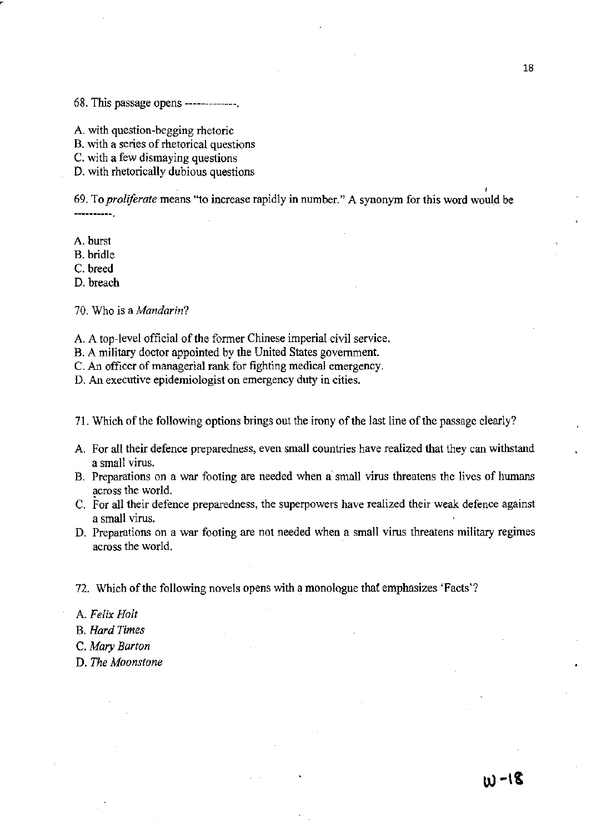68. This passage opens -------------.

A. with question-begging rhetoric

B. with a series of rhetorical questions

C. with a few dismaying questions

D. with rhetorically dubious questions

69. To *proliferate* means "to increase rapidly in number." A synonym for this word would be -----------

A. burst

B. bridle

C. breed

D. breach

70. Who is a *Mandarin?* 

A. A top-level official of the fonner Chinese imperial civil service.

B. A military doctor appointed by the United States government.

C. An officer of managerial rank for fighting medical emergency.

D. An executive epidemiologist on emergency duty in cities.

71. Which of the following options brings out the irony of the last line of the passage clearly?

A. For all their defence preparedness, even small countries have realized that they can withstand a small virus.

B. Preparations on a war footing are needed when a'small virus threatens the lives of humans across the world.

C. For all their defence preparedness, the superpowers have realized their weak. defence against a small virus.

D. Preparations on a war footing are not needed when a small virus threatens military regimes across the world.

72. Which of the following novels opens with a monologue that emphasizes 'Facts'?

A. *Felix Holt*  B. *Hard Times*  C. *Mary Barton* 

D. *The Moonstone* 

,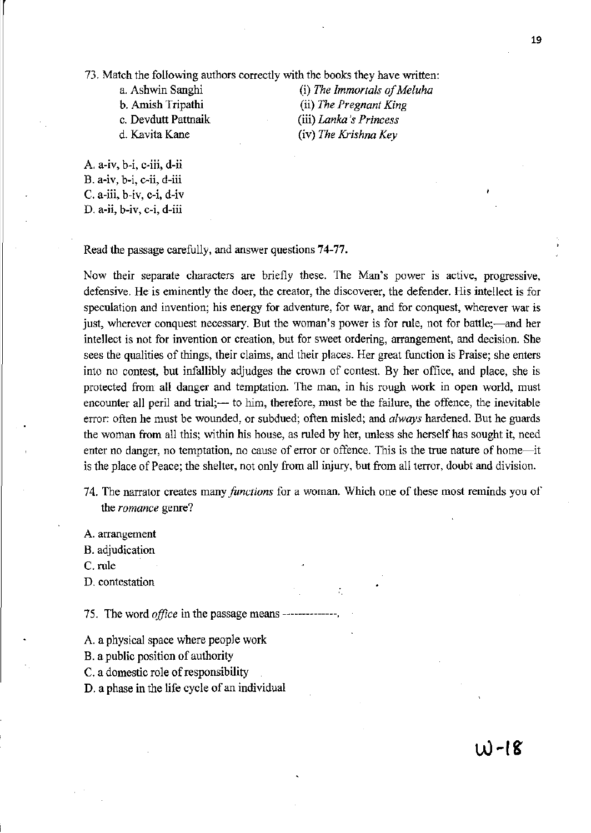73, Match the following authors correctly with the books they have written:

- 
- 
- 
- 

a. Ashwin Sanghi (i) *The Immortals of Meluha*  b. Amish Tripathi (ii) *The Pregnant King*  c. Devdutt Pattnaik (iii) *Lanka's Princess*  d. Kavita Kane (iv) *The Krishna Key* 

A. a~iv. b-i, c-iii, d-ii B. a-iv, b-i, c-ii, d-iii C. a-iii, b-iv, c-i, d-iv D. a-ii, b-iv, c-i, d-iii

Read the passage carefully, and answer questions 74-77.

Now their separate characters are briefly these. The Man's power is active, progressive, defensive. He is eminently the doer, the creator, the discoverer, the defender. His intellect is for speculation and invention; his energy for adventure, for war, and for conquest, wherever war is just, wherever conquest necessary. But the woman's power is for rule, not for battle;—and her intellect is not for invention or creation, but for sweet ordering, arrangement, and decision. She sees the qualities of things, their claims, and their places. Her great function is Praise; she enters into no contest, but infallibly adjudges the crown of contest. By her office, and place, she is protected from all danger and temptation. The man, in his rough work in open world, must encounter all peril and trial;— to him, therefore, must be the failure, the offence, the inevitable error: often he must be wounded, or subdued; often misled; and *a/ways* hardened. But he guards the woman from all this; within his house, as ruled by her, unless she herself has sought it, need enter no danger, no temptation, no cause of error or offence. This is the true nature of home—it is the place of Peace; the shelter, not only from all injury, but from all terror, doubt and division.

74. The narrator creates many *functions* for a woman, Which one of these most reminds you of the *romance* genre?

A. arrangement

B. adjudication

C. rule

D. contestation

75. The word *office* in the passage means --------------,

A. a physical space where people work

B. a public position of authority

C. a domestic role of responsibility

D. a phase in the life cycle of an individual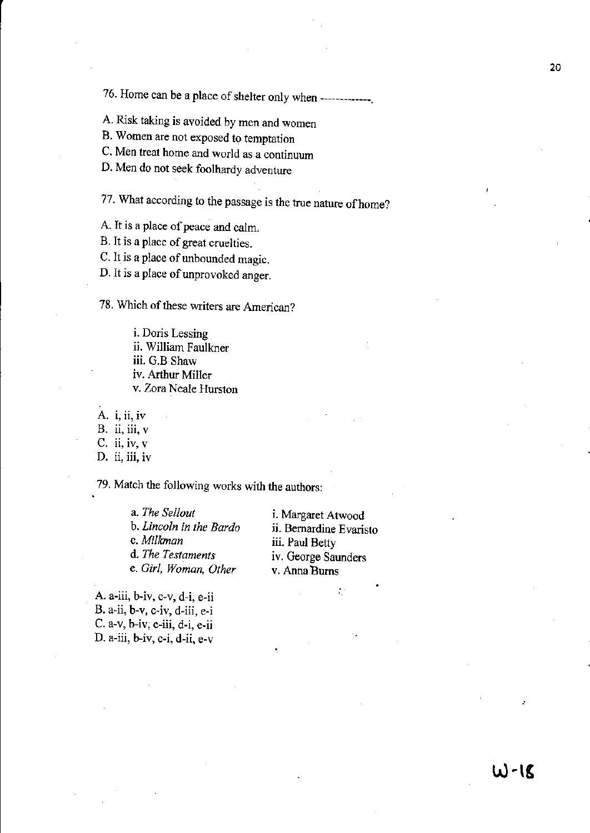76. Home can be a place of shelter only when -------------

A. Risk taking is avoided by men and women

B. Women are not exposed to temptation

C. Men treat home and world as a continuum

D. Men do not seek foolhardy adventure

77. What according to the passage is the true nature of home?

A. It is a place of peace and calm.

B. It is a place of great cruelties.

C. It is a place of unbounded magic.

D. It is a place of unprovoked anger.

78. Which of these writers are American?

i. Doris Lessing ii. William Faulkner iii. G.B Shaw iv. Arthur Miller v. Zora Neale Hurston

A. i, ii, iv

B. ii, iii, v

C. ii, iv, v

D. ii, iii, iv

79. Match the following works with the authors:

a. *The Sellout*  b. *Lincoln in the Bardo c.Milkman*  d. *The Testaments*  e. *Girl, Woman. Other* 

i. Margaret Atwood ii. Bernardine Evaristo iii. Paul Betty iv. George Saunders v. Anna Burns

A. a-iii, b-iv, c-v, d-i, e-ii B. a-ii, b-v, c-iv, d-iii, e-i C. a-v, b-iv, c-iii, d-i, e-ii D. a-iii, b-iv, c-i, d-ii, e-v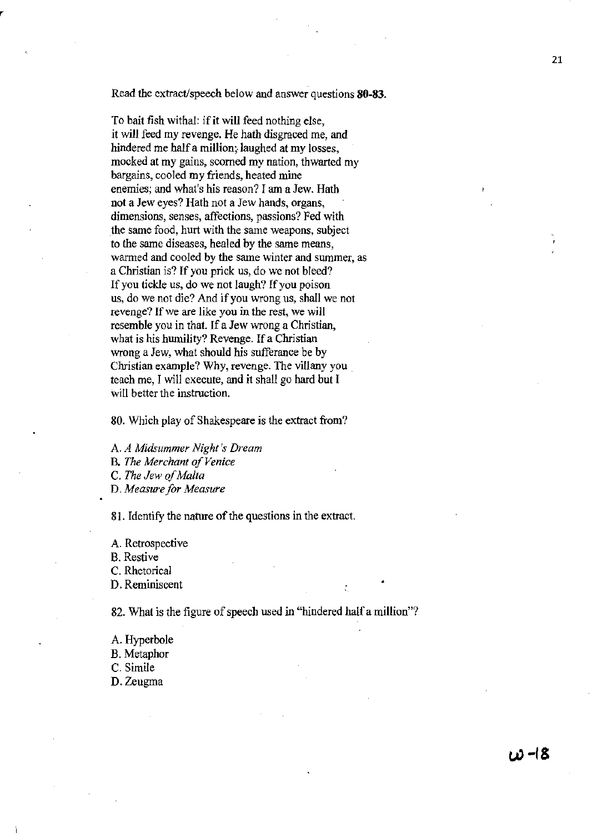Read the extract/speech below and answer questions 80-83.

To bait fish withal: if it will feed nothing else, it will feed my revenge. He hath disgraced me, and hindered me half a million; laughed at my losses, mocked at my gains, scorned my nation, thwarted my bargains, cooled my friends, heated mine enemies; and what's his reason? I am a Jew. Hath not a Jew eyes? Hath not a Jew hands, organs, dimensions, senses, affections, passions? Fed with the same food, hurt with the same weapons, subject to the same diseases, healed by the same means, warmed and cooled by the same winter and summer, as a Christian is? If you prick *us,* do we not bleed? If you tickle us, do we not laugh? If you poison us, do we not die? And if you wrong us, shall we not revenge? If we are like you in the rest, we will resemble you in that. If a Jew wrong a Christian, what is his humility? Revenge. If a Christian wrong a Jew, what should his sufferance be by Christian example? Why, revenge. The villany you teach me, I will execute, and it shall go hard but I will better the instruction.

80, Which play of Shakespeare is the extract from?

A. *A Midsummer Nigh! 's Dream*  B. *The Merchant of Venice*  C. *The Jew of Malta*  D. Measure for Measure

81. Identify the nature of the questions in the extract.

A. Retrospective B. Restive C. Rhetorical D. Reminiscent

82. What is the figure of speech used in "hindered half a million"?

A. Hyperbole

B. Metaphor

C. Simile

D.Zeugma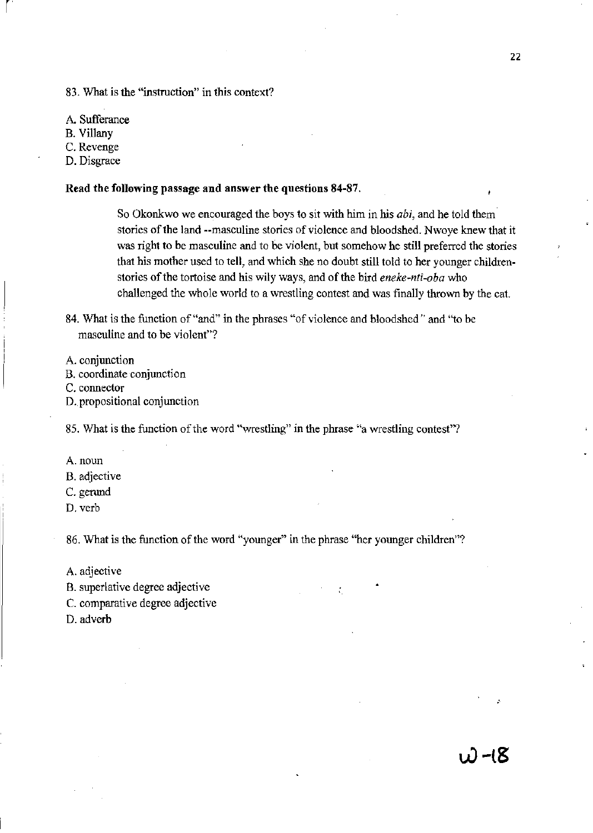83. What is the "instruction" in this context?

A. Sufferance

B. Villany

l,

C. Revenge

D. Disgrace

#### **Read the following passage and answer the questions 84-87.**

So Okonkwo we encouraged the boys to sit with him in his *abi,* and he told them stories of the land --masculine stories of violence and bloodshed. Nwoye knew that it was right to be masculine and to be violent, but somehow he still preferred the stories that his mother used to tell, and which she no doubt still told to her younger childrenstories of the tortoise and his wily ways, and of the bird *eneke-nti-oba* who challenged the whole world to a wrestling contest and was finally thrown by the cat.

84. What is the function of "and" in the phrases "of violence and bloodshed" and "to be masculine and to be violent"?

A. conjunction

B. coordinate conjunction

c. connector

D. propositional conjunction

85. What is the function of the word "wrestling" in the phrase "a wrestling contest''?

A. noun

B. adjective

c. genmd

D. verb

86. What is the function of the word "younger" in the phrase "her younger children"?

A. adjective

B. superlative degree adjective

C. comparative degree adjective

D. adverb

 $w$ -18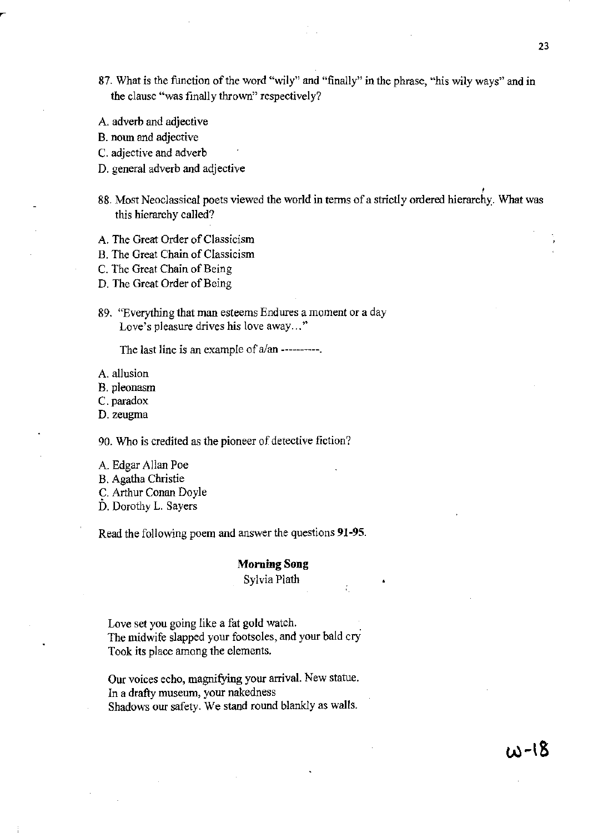- 87. What is the function of the word "wily" and "finally" in the phrase, "his wily ways" and in the clause "was finally thrown" respectively?
- A. adverb and adjective
- B. noun and adjective
- C. adjective and adverb
- D. general adverb and adjective

88. Most Neoclassical poets viewed the world in tenns of a strictly ordered hierarchy. What was this hierarchy called?

- A. The Great Order of Classicism
- B. The Great Chain of Classicism
- C. The Great Chain of Being
- D. The Great Order of Being
- 89. "Everything that man esteems Endures a moment or a day Love's pleasure drives his love away..."

The last line is an example of a/an ----------

A. allusion

B. pleonasm

C.paradox

D. zeugma

90. Who is credited as the pioneer of detective fiction?

- A. Edgar Allan Poe
- B. Agatha Christie
- C. Arthur Conan Doyle

D. Dorothy L. Sayers

Read the following poem and answer the questions 91-95.

#### Morning Song

## Sylvia Plath

Love set you going like a fat gold watch. The midwife slapped your footsoles, and your bald cry Took its place among the elements.

Our voices echo, magnifying your arrival. New statue. In a drafty museum, your nakedness Shadows our safety. We stand round blankly as walls.

,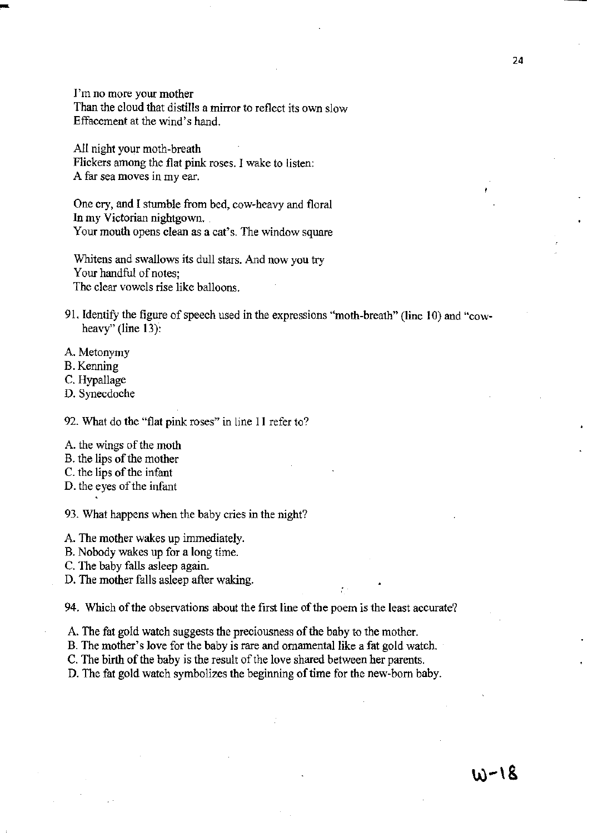**I'm no more your mother Than the cloud that distills a mirror to reflect its own slow Effacement at the wind's hand.** 

All night your moth-breath **Flickers among the flat pink roses. I wake to listen: A far sea moves in my ear.** 

One cry, and I stumble from bed, cow-heavy and floral **In my Victorian nightgown. Your mouth opens clean as a cat's. The window square** 

**Whitens and swallows its dull stars. And now you try**  Your handful of notes; **The clear vowels rise like balloons.** 

- **91. Identify the figure** of speech **used in the expressions "'moth-breath" (line 10) and "cow**heavy" (line 13):
- A. Metonymy
- B.Kenning
- C. Hypallage
- D. Synecdoche

**92. What do the "flat pink roses" in line 11 refer to?** 

- A. the wings of the moth
- B. the lips of the mother
- C. the lips of the infant
- **D. the eyes of the infant**

**93. What happens when the baby cries in the night?** 

**A. The mother wakes up immediately.** 

B. Nobody wakes up for a long time.

- C. The baby falls asleep again.
- D. The mother falls asleep after waking.

**94. Which** of the **observations about the first line** of the **poem is the least accurate?** 

A. The fat gold watch suggests the preciousness of the baby to the mother.

B. The mother's love for the baby is rare and ornamental like a fat gold watch.

C. The birth of the baby is the result of the love shared between her parents.

D. The fat gold watch symbolizes the beginning of time for the new-born baby.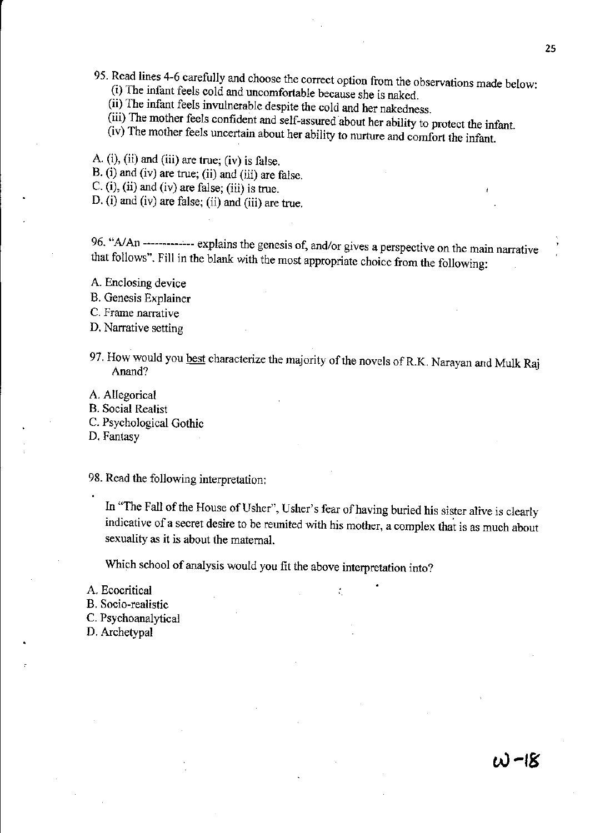**95. Read lines 4-6 carefully and choose the correct option from the observations made below:**  (i) The infant feels cold and uncomfortable because she is naked.

- (ii) The infant feels invulnerable despite the cold and her nakedness.
- **(iii) The mother feels confident and self-assured about her ability to protect the infant.**
- **(iv) The mother feels uncertain about her ability to nurture and comfort the infant.**
- A. (i). (ii) and (iii) are true; (iv) is false.

B. (i) and (iv) are true; (ii) and (iii) are false.

- C.  $(i)$ ,  $(ii)$  and  $(iv)$  are false;  $(iii)$  is true.
- D. (i) and (iv) are false; (ii) and (iii) are true.

**96. "AlAn ------------- explains the genesis of, and/or gives a perspective on the main narrative**  that follows". Fill in the blank with the most appropriate choice from the following:

**A. Enclosing device** 

**B. Genesis Explainer** 

**C. Frame narrative** 

- **D. Narrative setting**
- **97. How would you best characterize the majority** of the **novels ofR.K. Narayan and Mulk Raj**  Anand?

A. Allegorical

**B. Social Realist** 

C. Psychological Gothic

D. Fantasy

98. Read the following interpretation:

In "The Fall of the House of Usher", Usher's fear of having buried his sister alive is clearly **indicative of a secret desire to be reunited with his mother, a complex that is as much about sexuality as it is about the maternal.** 

**Which school of analysis would you fit the above interpretation into?** 

**A. Ecocritical** 

**B. Socio-realistic** 

C. Psychoanalytical

D. Archetypal